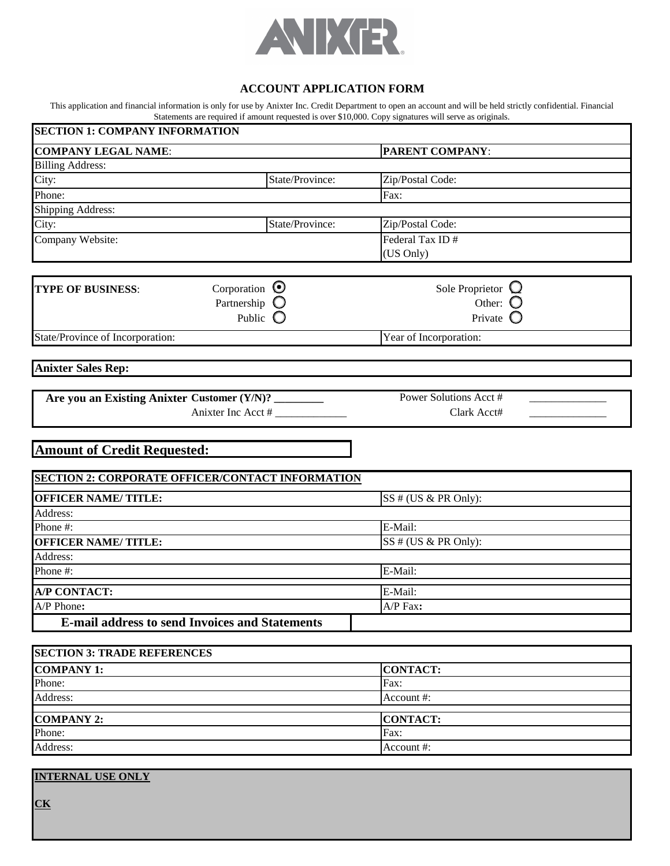

### **ACCOUNT APPLICATION FORM**

This application and financial information is only for use by Anixter Inc. Credit Department to open an account and will be held strictly confidential. Financial Statements are required if amount requested is over \$10,000. Copy signatures will serve as originals.

| <b>SECTION 1: COMPANY INFORMATION</b>                   |                    |                                                |
|---------------------------------------------------------|--------------------|------------------------------------------------|
| <b>COMPANY LEGAL NAME:</b>                              |                    | PARENT COMPANY:                                |
| <b>Billing Address:</b>                                 |                    |                                                |
| City:                                                   | State/Province:    | Zip/Postal Code:                               |
| Phone:                                                  |                    | Fax:                                           |
| Shipping Address:                                       |                    |                                                |
| City:                                                   | State/Province:    | Zip/Postal Code:                               |
| Company Website:                                        |                    | Federal Tax ID#                                |
|                                                         |                    | (US Only)                                      |
|                                                         |                    |                                                |
| Corporation $\odot$<br><b>TYPE OF BUSINESS:</b>         |                    | Sole Proprietor $\mathbf{\mathbf{\mathsf{Q}}}$ |
| Partnership $\bigcirc$                                  |                    | Other: O                                       |
|                                                         | Public $\bigcirc$  | Private $\bigcirc$                             |
| State/Province of Incorporation:                        |                    | Year of Incorporation:                         |
|                                                         |                    |                                                |
| <b>Anixter Sales Rep:</b>                               |                    |                                                |
| Are you an Existing Anixter Customer (Y/N)? ________    |                    | Power Solutions Acct #                         |
|                                                         | Anixter Inc Acct # | Clark Acct#                                    |
| <b>Amount of Credit Requested:</b>                      |                    |                                                |
| <b>SECTION 2: CORPORATE OFFICER/CONTACT INFORMATION</b> |                    |                                                |
| <b>OFFICER NAME/TITLE:</b>                              |                    | SS # (US & PR Only):                           |
| Address:                                                |                    |                                                |
| Phone #:                                                |                    | E-Mail:                                        |
| <b>OFFICER NAME/TITLE:</b>                              |                    | SS # (US & PR Only):                           |
| Address:                                                |                    |                                                |
| Phone #:                                                |                    | E-Mail:                                        |
| <b>A/P CONTACT:</b>                                     |                    | E-Mail:                                        |
| A/P Phone:                                              |                    | A/P Fax:                                       |
| <b>E-mail address to send Invoices and Statements</b>   |                    |                                                |
| <b>SECTION 3: TRADE REFERENCES</b>                      |                    |                                                |
| <b>COMPANY 1:</b>                                       |                    | <b>CONTACT:</b>                                |
| Phone:                                                  |                    | Fax:                                           |
| Address:                                                |                    | Account #:                                     |
| <b>COMPANY 2:</b>                                       |                    | <b>CONTACT:</b>                                |
| Phone:                                                  |                    | Fax:                                           |
| Address:                                                |                    | Account#:                                      |
| <b>INTERNAL USE ONLY</b>                                |                    |                                                |

**CK**